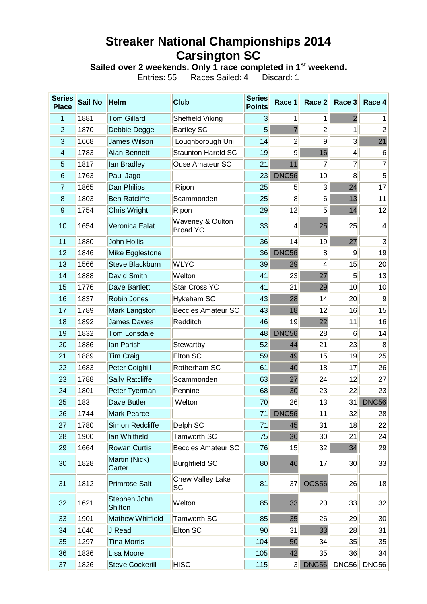## **Streaker National Championships 2014 Carsington SC**

**Sailed over 2 weekends. Only 1 race completed in 1st weekend.**

Entries: 55 Races Sailed: 4 Discard: 1

| <b>Series</b><br><b>Place</b> | <b>Sail No</b> | <b>Helm</b>             | <b>Club</b>                         | <b>Series</b><br><b>Points</b> | Race 1         | Race 2         | Race 3          | Race 4          |
|-------------------------------|----------------|-------------------------|-------------------------------------|--------------------------------|----------------|----------------|-----------------|-----------------|
| 1                             | 1881           | <b>Tom Gillard</b>      | Sheffield Viking                    | $\overline{3}$                 | 1              | 1              | $\overline{2}$  | $\mathbf{1}$    |
| $\overline{2}$                | 1870           | Debbie Degge            | <b>Bartley SC</b>                   | 5                              | $\overline{7}$ | $\overline{2}$ | 1               | $\overline{2}$  |
| 3                             | 1668           | <b>James Wilson</b>     | Loughborough Uni                    | 14                             | $\overline{2}$ | 9              | $\overline{3}$  | 21              |
| 4                             | 1783           | <b>Alan Bennett</b>     | <b>Staunton Harold SC</b>           | 19                             | $\overline{9}$ | 16             | $\overline{4}$  | 6               |
| 5                             | 1817           | lan Bradley             | <b>Ouse Amateur SC</b>              | 21                             | 11             | $\overline{7}$ | $\overline{7}$  | $\overline{7}$  |
| 6                             | 1763           | Paul Jago               |                                     | 23                             | DNC56          | 10             | 8               | $5\overline{)}$ |
| 7                             | 1865           | Dan Philips             | Ripon                               | 25                             | 5              | 3              | 24              | 17              |
| 8                             | 1803           | <b>Ben Ratcliffe</b>    | Scammonden                          | 25                             | 8              | 6              | 13              | 11              |
| 9                             | 1754           | <b>Chris Wright</b>     | Ripon                               | 29                             | 12             | 5              | 14              | 12              |
| 10                            | 1654           | Veronica Falat          | Waveney & Oulton<br><b>Broad YC</b> | 33                             | 4              | 25             | 25              | 4               |
| 11                            | 1880           | John Hollis             |                                     | 36                             | 14             | 19             | 27              | $\overline{3}$  |
| 12                            | 1846           | Mike Egglestone         |                                     | 36                             | DNC56          | 8              | $\overline{9}$  | 19              |
| 13                            | 1566           | <b>Steve Blackburn</b>  | <b>WLYC</b>                         | 39                             | 29             | 4              | 15              | 20              |
| 14                            | 1888           | David Smith             | Welton                              | 41                             | 23             | 27             | 5               | 13              |
| 15                            | 1776           | <b>Dave Bartlett</b>    | <b>Star Cross YC</b>                | 41                             | 21             | 29             | 10              | 10              |
| 16                            | 1837           | Robin Jones             | Hykeham SC                          | 43                             | 28             | 14             | 20              | 9               |
| 17                            | 1789           | <b>Mark Langston</b>    | <b>Beccles Amateur SC</b>           | 43                             | 18             | 12             | 16              | 15              |
| 18                            | 1892           | <b>James Dawes</b>      | Redditch                            | 46                             | 19             | 22             | 11              | 16              |
| 19                            | 1832           | <b>Tom Lonsdale</b>     |                                     | 48                             | <b>DNC56</b>   | 28             | 6               | 14              |
| 20                            | 1886           | Ian Parish              | Stewartby                           | 52                             | 44             | 21             | 23              | 8               |
| 21                            | 1889           | <b>Tim Craig</b>        | <b>Elton SC</b>                     | 59                             | 49             | 15             | 19              | 25              |
| 22                            | 1683           | Peter Coighill          | Rotherham SC                        | 61                             | 40             | 18             | 17              | 26              |
| 23                            | 1788           | <b>Sally Ratcliffe</b>  | Scammonden                          | 63                             | 27             | 24             | 12              | 27              |
| 24                            | 1801           | Peter Tyerman           | Pennine                             | 68                             | 30             | 23             | 22              | 23              |
| 25                            | 183            | Dave Butler             | Welton                              | 70                             | 26             | 13             | 31              | DNC56           |
| 26                            | 1744           | <b>Mark Pearce</b>      |                                     | 71                             | DNC56          | 11             | 32              | 28              |
| 27                            | 1780           | Simon Redcliffe         | Delph SC                            | 71                             | 45             | 31             | 18              | 22              |
| 28                            | 1900           | Ian Whitfield           | Tamworth SC                         | 75                             | 36             | 30             | 21              | 24              |
| 29                            | 1664           | <b>Rowan Curtis</b>     | <b>Beccles Amateur SC</b>           | 76                             | 15             | 32             | 34              | 29              |
| 30                            | 1828           | Martin (Nick)<br>Carter | <b>Burghfield SC</b>                | 80                             | 46             | 17             | 30 <sub>2</sub> | 33              |
| 31                            | 1812           | <b>Primrose Salt</b>    | Chew Valley Lake<br>SC              | 81                             | 37             | OCS56          | 26              | 18              |
| 32                            | 1621           | Stephen John<br>Shilton | Welton                              | 85                             | 33             | 20             | 33              | 32              |
| 33                            | 1901           | <b>Mathew Whitfield</b> | Tamworth SC                         | 85                             | 35             | 26             | 29              | 30              |
| 34                            | 1640           | J Read                  | Elton SC                            | 90                             | 31             | 33             | 28              | 31              |
| 35                            | 1297           | <b>Tina Morris</b>      |                                     | 104                            | 50             | 34             | 35              | 35              |
| 36                            | 1836           | Lisa Moore              |                                     | 105                            | 42             | 35             | 36              | 34              |
| 37                            | 1826           | <b>Steve Cockerill</b>  | <b>HISC</b>                         | 115                            | 3              | DNC56          | DNC56           | DNC56           |